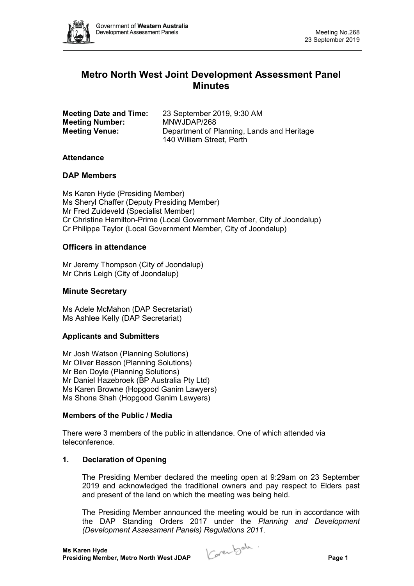

# **Metro North West Joint Development Assessment Panel Minutes**

| <b>Meeting Date and Time:</b> | 23 September 2019, 9:30 AM                                              |
|-------------------------------|-------------------------------------------------------------------------|
| <b>Meeting Number:</b>        | MNWJDAP/268                                                             |
| <b>Meeting Venue:</b>         | Department of Planning, Lands and Heritage<br>140 William Street, Perth |

#### **Attendance**

#### **DAP Members**

Ms Karen Hyde (Presiding Member) Ms Sheryl Chaffer (Deputy Presiding Member) Mr Fred Zuideveld (Specialist Member) Cr Christine Hamilton-Prime (Local Government Member, City of Joondalup) Cr Philippa Taylor (Local Government Member, City of Joondalup)

#### **Officers in attendance**

Mr Jeremy Thompson (City of Joondalup) Mr Chris Leigh (City of Joondalup)

# **Minute Secretary**

Ms Adele McMahon (DAP Secretariat) Ms Ashlee Kelly (DAP Secretariat)

#### **Applicants and Submitters**

Mr Josh Watson (Planning Solutions) Mr Oliver Basson (Planning Solutions) Mr Ben Doyle (Planning Solutions) Mr Daniel Hazebroek (BP Australia Pty Ltd) Ms Karen Browne (Hopgood Ganim Lawyers) Ms Shona Shah (Hopgood Ganim Lawyers)

#### **Members of the Public / Media**

There were 3 members of the public in attendance. One of which attended via teleconference.

# **1. Declaration of Opening**

The Presiding Member declared the meeting open at 9:29am on 23 September 2019 and acknowledged the traditional owners and pay respect to Elders past and present of the land on which the meeting was being held.

The Presiding Member announced the meeting would be run in accordance with the DAP Standing Orders 2017 under the *Planning and Development (Development Assessment Panels) Regulations 2011*.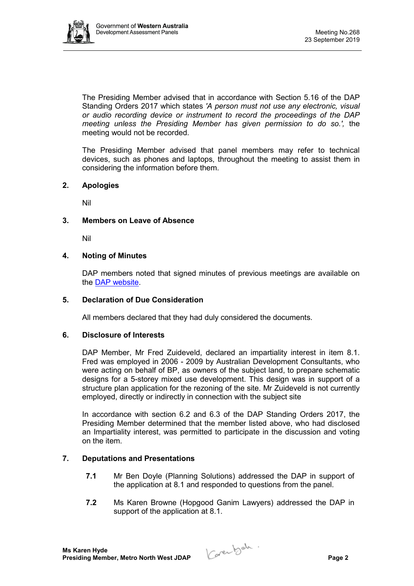

The Presiding Member advised that in accordance with Section 5.16 of the DAP Standing Orders 2017 which states *'A person must not use any electronic, visual or audio recording device or instrument to record the proceedings of the DAP meeting unless the Presiding Member has given permission to do so.',* the meeting would not be recorded.

The Presiding Member advised that panel members may refer to technical devices, such as phones and laptops, throughout the meeting to assist them in considering the information before them.

# **2. Apologies**

Nil

#### **3. Members on Leave of Absence**

Nil

#### **4. Noting of Minutes**

DAP members noted that signed minutes of previous meetings are available on the [DAP website.](https://www.dplh.wa.gov.au/about/development-assessment-panels/daps-agendas-and-minutes)

#### **5. Declaration of Due Consideration**

All members declared that they had duly considered the documents.

#### **6. Disclosure of Interests**

DAP Member, Mr Fred Zuideveld, declared an impartiality interest in item 8.1. Fred was employed in 2006 - 2009 by Australian Development Consultants, who were acting on behalf of BP, as owners of the subject land, to prepare schematic designs for a 5-storey mixed use development. This design was in support of a structure plan application for the rezoning of the site. Mr Zuideveld is not currently employed, directly or indirectly in connection with the subject site

In accordance with section 6.2 and 6.3 of the DAP Standing Orders 2017, the Presiding Member determined that the member listed above, who had disclosed an Impartiality interest, was permitted to participate in the discussion and voting on the item.

# **7. Deputations and Presentations**

- **7.1** Mr Ben Doyle (Planning Solutions) addressed the DAP in support of the application at 8.1 and responded to questions from the panel.
- **7.2** Ms Karen Browne (Hopgood Ganim Lawyers) addressed the DAP in support of the application at 8.1.

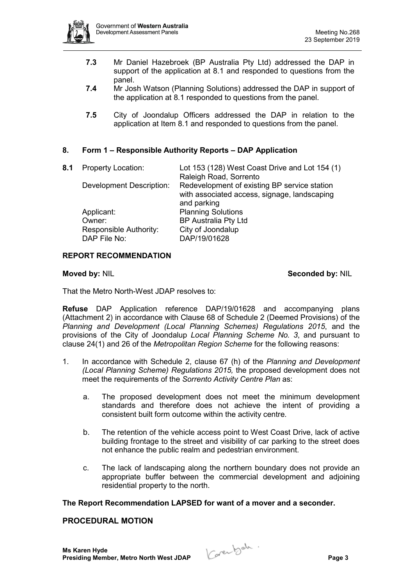

- **7.3** Mr Daniel Hazebroek (BP Australia Pty Ltd) addressed the DAP in support of the application at 8.1 and responded to questions from the panel.
- **7.4** Mr Josh Watson (Planning Solutions) addressed the DAP in support of the application at 8.1 responded to questions from the panel.
- **7.5** City of Joondalup Officers addressed the DAP in relation to the application at Item 8.1 and responded to questions from the panel.

# **8. Form 1 – Responsible Authority Reports – DAP Application**

| 8.1 | <b>Property Location:</b>              | Lot 153 (128) West Coast Drive and Lot 154 (1)                         |
|-----|----------------------------------------|------------------------------------------------------------------------|
|     | <b>Development Description:</b>        | Raleigh Road, Sorrento<br>Redevelopment of existing BP service station |
|     |                                        | with associated access, signage, landscaping<br>and parking            |
|     | Applicant:                             | <b>Planning Solutions</b>                                              |
|     | Owner:                                 | <b>BP Australia Pty Ltd</b>                                            |
|     | Responsible Authority:<br>DAP File No: | City of Joondalup<br>DAP/19/01628                                      |
|     |                                        |                                                                        |

# **REPORT RECOMMENDATION**

# **Moved by: NIL <b>Seconded by: NIL Seconded by: NIL**

That the Metro North-West JDAP resolves to:

**Refuse** DAP Application reference DAP/19/01628 and accompanying plans (Attachment 2) in accordance with Clause 68 of Schedule 2 (Deemed Provisions) of the *Planning and Development (Local Planning Schemes) Regulations 2015*, and the provisions of the City of Joondalup *Local Planning Scheme No. 3*, and pursuant to clause 24(1) and 26 of the *Metropolitan Region Scheme* for the following reasons:

- 1. In accordance with Schedule 2, clause 67 (h) of the *Planning and Development (Local Planning Scheme) Regulations 2015,* the proposed development does not meet the requirements of the *Sorrento Activity Centre Plan* as:
	- a. The proposed development does not meet the minimum development standards and therefore does not achieve the intent of providing a consistent built form outcome within the activity centre.
	- b. The retention of the vehicle access point to West Coast Drive, lack of active building frontage to the street and visibility of car parking to the street does not enhance the public realm and pedestrian environment.
	- c. The lack of landscaping along the northern boundary does not provide an appropriate buffer between the commercial development and adjoining residential property to the north.

# **The Report Recommendation LAPSED for want of a mover and a seconder.**

# **PROCEDURAL MOTION**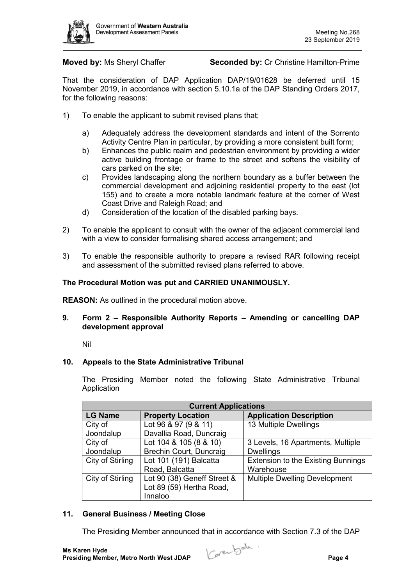

**Moved by:** Ms Sheryl Chaffer **Seconded by:** Cr Christine Hamilton-Prime

That the consideration of DAP Application DAP/19/01628 be deferred until 15 November 2019, in accordance with section 5.10.1a of the DAP Standing Orders 2017, for the following reasons:

- 1) To enable the applicant to submit revised plans that;
	- a) Adequately address the development standards and intent of the Sorrento Activity Centre Plan in particular, by providing a more consistent built form;
	- b) Enhances the public realm and pedestrian environment by providing a wider active building frontage or frame to the street and softens the visibility of cars parked on the site;
	- c) Provides landscaping along the northern boundary as a buffer between the commercial development and adjoining residential property to the east (lot 155) and to create a more notable landmark feature at the corner of West Coast Drive and Raleigh Road; and
	- d) Consideration of the location of the disabled parking bays.
- 2) To enable the applicant to consult with the owner of the adjacent commercial land with a view to consider formalising shared access arrangement; and
- 3) To enable the responsible authority to prepare a revised RAR following receipt and assessment of the submitted revised plans referred to above.

# **The Procedural Motion was put and CARRIED UNANIMOUSLY.**

**REASON:** As outlined in the procedural motion above.

# **9. Form 2 – Responsible Authority Reports – Amending or cancelling DAP development approval**

Nil

# **10. Appeals to the State Administrative Tribunal**

The Presiding Member noted the following State Administrative Tribunal Application

| <b>Current Applications</b> |                             |                                           |  |  |
|-----------------------------|-----------------------------|-------------------------------------------|--|--|
| <b>LG Name</b>              | <b>Property Location</b>    | <b>Application Description</b>            |  |  |
| City of                     | Lot 96 & 97 (9 & 11)        | 13 Multiple Dwellings                     |  |  |
| Joondalup                   | Davallia Road, Duncraig     |                                           |  |  |
| City of                     | Lot 104 & 105 (8 & 10)      | 3 Levels, 16 Apartments, Multiple         |  |  |
| Joondalup                   | Brechin Court, Duncraig     | <b>Dwellings</b>                          |  |  |
| City of Stirling            | Lot 101 (191) Balcatta      | <b>Extension to the Existing Bunnings</b> |  |  |
|                             | Road, Balcatta              | Warehouse                                 |  |  |
| City of Stirling            | Lot 90 (38) Geneff Street & | <b>Multiple Dwelling Development</b>      |  |  |
|                             | Lot 89 (59) Hertha Road,    |                                           |  |  |
|                             | Innaloo                     |                                           |  |  |

# **11. General Business / Meeting Close**

The Presiding Member announced that in accordance with Section 7.3 of the DAP